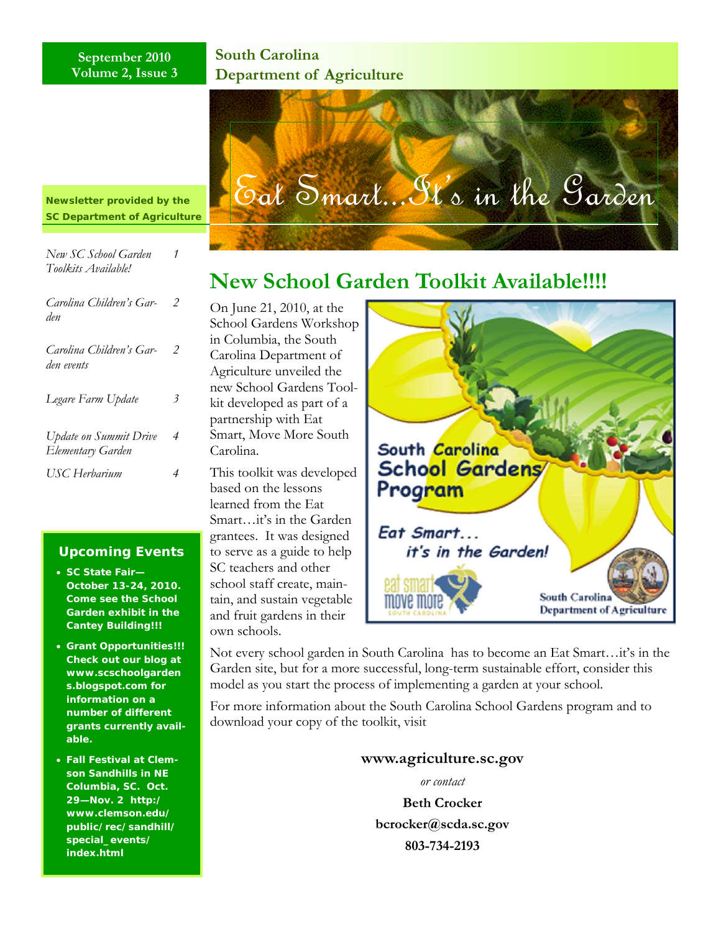#### **September 2010 Volume 2, Issue 3**

### **South Carolina Department of Agriculture**

*Newsletter provided by the SC Department of Agriculture*

| New SC School Garden<br>Toolkits Available!        | 1 |
|----------------------------------------------------|---|
| Carolina Children's Gar-<br>den                    | 2 |
| Carolina Children's Gar-<br>den events             | 2 |
| Legare Farm Update                                 | 3 |
| <b>Update on Summit Drive</b><br>Elementary Garden | 4 |
| USC Herbarium                                      | 4 |

#### **Upcoming Events**

- **SC State Fair— October 13-24, 2010. Come see the School Garden exhibit in the Cantey Building!!!**
- **Grant Opportunities!!! Check out our blog at www.scschoolgarden s.blogspot.com for information on a number of different grants currently available.**
- **Fall Festival at Clemson Sandhills in NE Columbia, SC. Oct. 29—Nov. 2 http:/ www.clemson.edu/ public/rec/sandhill/ special\_events/ index.html**



# **New School Garden Toolkit Available!!!!**

On June 21, 2010, at the School Gardens Workshop in Columbia, the South Carolina Department of Agriculture unveiled the new School Gardens Toolkit developed as part of a partnership with Eat Smart, Move More South Carolina.

This toolkit was developed based on the lessons learned from the Eat Smart…it's in the Garden grantees. It was designed to serve as a guide to help SC teachers and other school staff create, maintain, and sustain vegetable and fruit gardens in their own schools.



Not every school garden in South Carolina has to become an Eat Smart…it's in the Garden site, but for a more successful, long-term sustainable effort, consider this model as you start the process of implementing a garden at your school.

For more information about the South Carolina School Gardens program and to download your copy of the toolkit, visit

**www.agriculture.sc.gov** 

*or contact* 

**Beth Crocker bcrocker@scda.sc.gov 803-734-2193**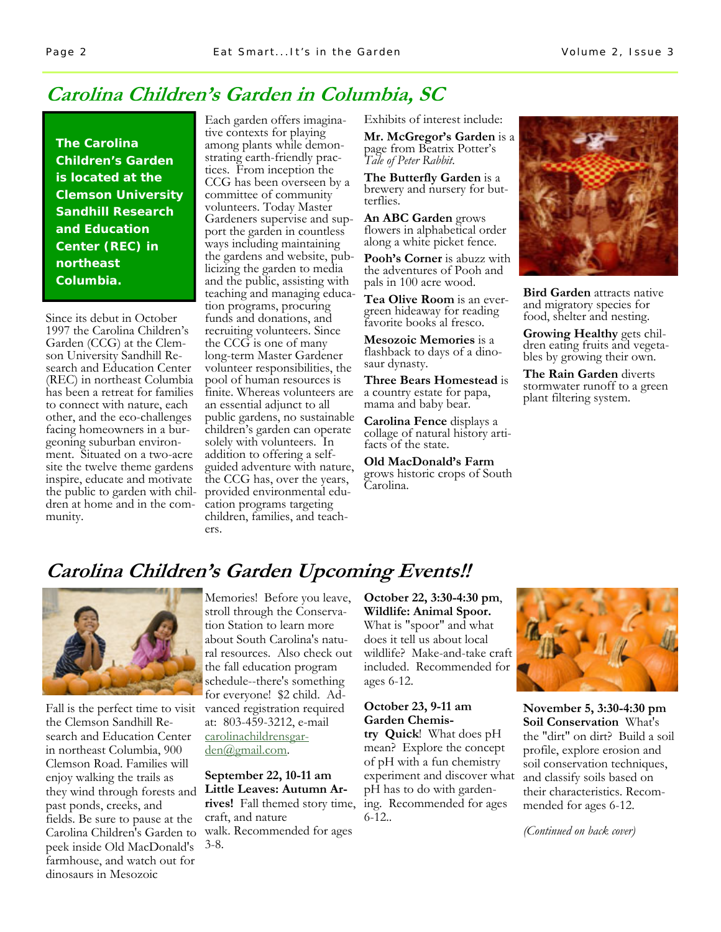## **Carolina Children's Garden in Columbia, SC**

**The Carolina Children's Garden is located at the Clemson University Sandhill Research and Education Center (REC) in northeast Columbia.** 

Since its debut in October 1997 the Carolina Children's Garden (CCG) at the Clemson University Sandhill Research and Education Center (REC) in northeast Columbia has been a retreat for families to connect with nature, each other, and the eco-challenges facing homeowners in a burgeoning suburban environment. Situated on a two-acre site the twelve theme gardens inspire, educate and motivate the public to garden with children at home and in the community.

Each garden offers imaginative contexts for playing among plants while demonstrating earth-friendly practices. From inception the CCG has been overseen by a committee of community volunteers. Today Master Gardeners supervise and support the garden in countless ways including maintaining the gardens and website, publicizing the garden to media and the public, assisting with teaching and managing education programs, procuring funds and donations, and recruiting volunteers. Since the CCG is one of many long-term Master Gardener volunteer responsibilities, the pool of human resources is finite. Whereas volunteers are an essential adjunct to all public gardens, no sustainable children's garden can operate solely with volunteers. In addition to offering a selfguided adventure with nature, the CCG has, over the years, provided environmental education programs targeting children, families, and teachers.

Exhibits of interest include:

**Mr. McGregor's Garden** is a page from Beatrix Potter's *Tale of Peter Rabbit*.

**The Butterfly Garden** is a brewery and nursery for butterflies.

**An ABC Garden** grows flowers in alphabetical order along a white picket fence.

**Pooh's Corner** is abuzz with the adventures of Pooh and pals in 100 acre wood.

**Tea Olive Room** is an evergreen hideaway for reading favorite books al fresco.

**Mesozoic Memories** is a flashback to days of a dinosaur dynasty.

**Three Bears Homestead** is a country estate for papa, mama and baby bear.

**Carolina Fence** displays a collage of natural history artifacts of the state.

**Old MacDonald's Farm**  grows historic crops of South Carolina.



**Bird Garden** attracts native and migratory species for food, shelter and nesting.

**Growing Healthy** gets chil-<br>dren eating fruits and vegetables by growing their own.

**The Rain Garden** diverts stormwater runoff to a green plant filtering system.

# **Carolina Children's Garden Upcoming Events!!**



Fall is the perfect time to visit the Clemson Sandhill Research and Education Center in northeast Columbia, 900 Clemson Road. Families will enjoy walking the trails as they wind through forests and **Little Leaves: Autumn Ar**past ponds, creeks, and fields. Be sure to pause at the Carolina Children's Garden to walk. Recommended for ages peek inside Old MacDonald's 3-8. farmhouse, and watch out for dinosaurs in Mesozoic

Memories! Before you leave, stroll through the Conservation Station to learn more about South Carolina's natural resources. Also check out the fall education program schedule--there's something for everyone! \$2 child. Advanced registration required at: 803-459-3212, e-mail carolinachildrensgarden@gmail.com.

# **September 22, 10-11 am**

**rives!** Fall themed story time, craft, and nature

**October 22, 3:30-4:30 pm**, **Wildlife: Animal Spoor.**  What is "spoor" and what does it tell us about local wildlife? Make-and-take craft included. Recommended for ages 6-12.

#### **October 23, 9-11 am Garden Chemis-**

**try Quick**! What does pH mean? Explore the concept of pH with a fun chemistry experiment and discover what pH has to do with gardening. Recommended for ages 6-12..



**November 5, 3:30-4:30 pm Soil Conservation** What's the "dirt" on dirt? Build a soil profile, explore erosion and soil conservation techniques, and classify soils based on their characteristics. Recommended for ages 6-12.

*(Continued on back cover)*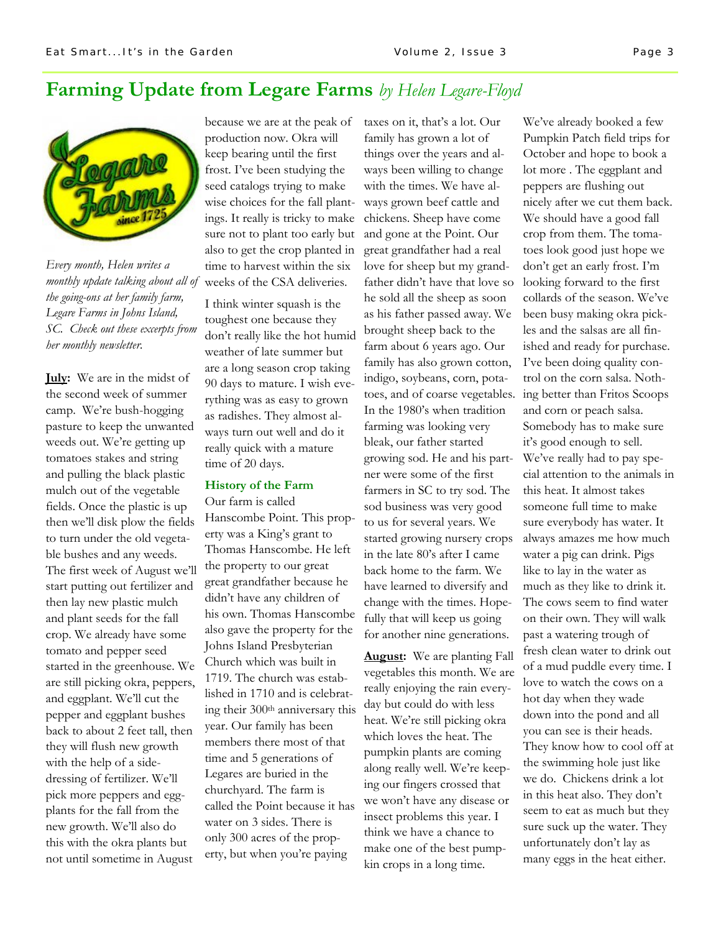### **Farming Update from Legare Farms** *by Helen Legare-Floyd*



monthly update talking about all of weeks of the CSA deliveries. *Every month, Helen writes a the going-ons at her family farm, Legare Farms in Johns Island, SC. Check out these excerpts from her monthly newsletter.*

**July:** We are in the midst of the second week of summer camp. We're bush-hogging pasture to keep the unwanted weeds out. We're getting up tomatoes stakes and string and pulling the black plastic mulch out of the vegetable fields. Once the plastic is up then we'll disk plow the fields to turn under the old vegetable bushes and any weeds. The first week of August we'll start putting out fertilizer and then lay new plastic mulch and plant seeds for the fall crop. We already have some tomato and pepper seed started in the greenhouse. We are still picking okra, peppers, and eggplant. We'll cut the pepper and eggplant bushes back to about 2 feet tall, then they will flush new growth with the help of a sidedressing of fertilizer. We'll pick more peppers and eggplants for the fall from the new growth. We'll also do this with the okra plants but not until sometime in August

because we are at the peak of production now. Okra will keep bearing until the first frost. I've been studying the seed catalogs trying to make wise choices for the fall plantings. It really is tricky to make sure not to plant too early but also to get the crop planted in time to harvest within the six

I think winter squash is the toughest one because they don't really like the hot humid weather of late summer but are a long season crop taking 90 days to mature. I wish everything was as easy to grown as radishes. They almost always turn out well and do it really quick with a mature time of 20 days.

#### **History of the Farm**

Our farm is called Hanscombe Point. This property was a King's grant to Thomas Hanscombe. He left the property to our great great grandfather because he didn't have any children of his own. Thomas Hanscombe also gave the property for the Johns Island Presbyterian Church which was built in 1719. The church was established in 1710 and is celebrating their 300th anniversary this year. Our family has been members there most of that time and 5 generations of Legares are buried in the churchyard. The farm is called the Point because it has water on 3 sides. There is only 300 acres of the property, but when you're paying

taxes on it, that's a lot. Our family has grown a lot of things over the years and always been willing to change with the times. We have always grown beef cattle and chickens. Sheep have come and gone at the Point. Our great grandfather had a real love for sheep but my grandfather didn't have that love so he sold all the sheep as soon as his father passed away. We brought sheep back to the farm about 6 years ago. Our family has also grown cotton, indigo, soybeans, corn, potatoes, and of coarse vegetables. In the 1980's when tradition farming was looking very bleak, our father started growing sod. He and his partner were some of the first farmers in SC to try sod. The sod business was very good to us for several years. We started growing nursery crops in the late 80's after I came back home to the farm. We have learned to diversify and change with the times. Hopefully that will keep us going for another nine generations.

**August:** We are planting Fall vegetables this month. We are really enjoying the rain everyday but could do with less heat. We're still picking okra which loves the heat. The pumpkin plants are coming along really well. We're keeping our fingers crossed that we won't have any disease or insect problems this year. I think we have a chance to make one of the best pumpkin crops in a long time.

We've already booked a few Pumpkin Patch field trips for October and hope to book a lot more . The eggplant and peppers are flushing out nicely after we cut them back. We should have a good fall crop from them. The tomatoes look good just hope we don't get an early frost. I'm looking forward to the first collards of the season. We've been busy making okra pickles and the salsas are all finished and ready for purchase. I've been doing quality control on the corn salsa. Nothing better than Fritos Scoops and corn or peach salsa. Somebody has to make sure it's good enough to sell. We've really had to pay special attention to the animals in this heat. It almost takes someone full time to make sure everybody has water. It always amazes me how much water a pig can drink. Pigs like to lay in the water as much as they like to drink it. The cows seem to find water on their own. They will walk past a watering trough of fresh clean water to drink out of a mud puddle every time. I love to watch the cows on a hot day when they wade down into the pond and all you can see is their heads. They know how to cool off at the swimming hole just like we do. Chickens drink a lot in this heat also. They don't seem to eat as much but they sure suck up the water. They unfortunately don't lay as many eggs in the heat either.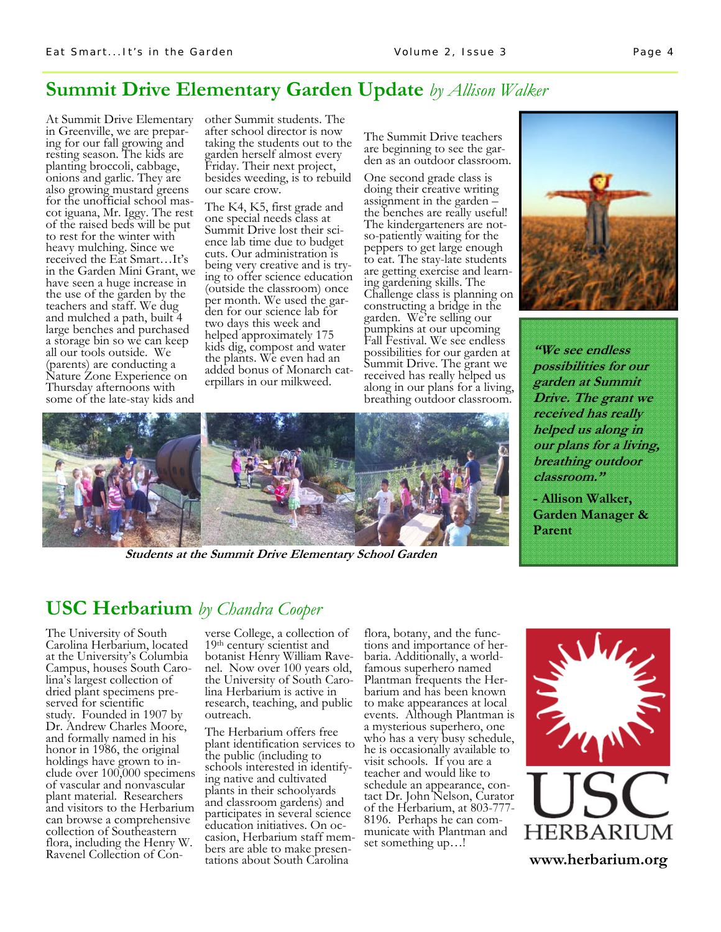### **Summit Drive Elementary Garden Update** *by Allison Walker*

At Summit Drive Elementary other Summit students. The in Greenville, we are preparing for our fall growing and resting season. The kids are planting broccoli, cabbage, onions and garlic. They are also growing mustard greens for the unofficial school mascot iguana, Mr. Iggy. The rest of the raised beds will be put to rest for the winter with heavy mulching. Since we received the Eat Smart…It's in the Garden Mini Grant, we have seen a huge increase in the use of the garden by the teachers and staff. We dug and mulched a path, built 4 large benches and purchased a storage bin so we can keep all our tools outside. We (parents) are conducting a Nature Zone Experience on Thursday afternoons with some of the late-stay kids and

after school director is now taking the students out to the garden herself almost every Friday. Their next project, besides weeding, is to rebuild our scare crow.

The K4, K5, first grade and one special needs class at Summit Drive lost their science lab time due to budget cuts. Our administration is being very creative and is trying to offer science education (outside the classroom) once per month. We used the garden for our science lab for two days this week and helped approximately 175 kids dig, compost and water the plants. We even had an added bonus of Monarch caterpillars in our milkweed.

The Summit Drive teachers are beginning to see the garden as an outdoor classroom.

One second grade class is doing their creative writing assignment in the garden – the benches are really useful! The kindergarteners are notso-patiently waiting for the peppers to get large enough to eat. The stay-late students are getting exercise and learning gardening skills. The Challenge class is planning on constructing a bridge in the garden. We're selling our pumpkins at our upcoming Fall Festival. We see endless possibilities for our garden at Summit Drive. The grant we received has really helped us along in our plans for a living, breathing outdoor classroom.



**"We see endless possibilities for our garden at Summit Drive. The grant we received has really helped us along in our plans for a living, breathing outdoor classroom."** 

**- Allison Walker, Garden Manager & Parent** 



**Students at the Summit Drive Elementary School Garden** 

## **USC Herbarium** *by Chandra Cooper*

The University of South Carolina Herbarium, located at the University's Columbia Campus, houses South Carolina's largest collection of dried plant specimens preserved for scientific study. Founded in 1907 by Dr. Andrew Charles Moore, and formally named in his honor in 1986, the original holdings have grown to include over 100,000 specimens of vascular and nonvascular plant material. Researchers and visitors to the Herbarium can browse a comprehensive collection of Southeastern flora, including the Henry W. Ravenel Collection of Con-

verse College, a collection of<br>19<sup>th</sup> century scientist and botanist Henry William Ravenel. Now over 100 years old, the University of South Carolina Herbarium is active in research, teaching, and public outreach.

The Herbarium offers free plant identification services to the public (including to schools interested in identifying native and cultivated plants in their schoolyards and classroom gardens) and participates in several science education initiatives. On occasion, Herbarium staff members are able to make presentations about South Carolina

flora, botany, and the functions and importance of herbaria. Additionally, a worldfamous superhero named Plantman frequents the Herbarium and has been known to make appearances at local events. Although Plantman is a mysterious superhero, one who has a very busy schedule, he is occasionally available to visit schools. If you are a teacher and would like to schedule an appearance, contact Dr. John Nelson, Curator of the Herbarium, at 803-777- 8196. Perhaps he can communicate with Plantman and set something up…!



**www.herbarium.org**